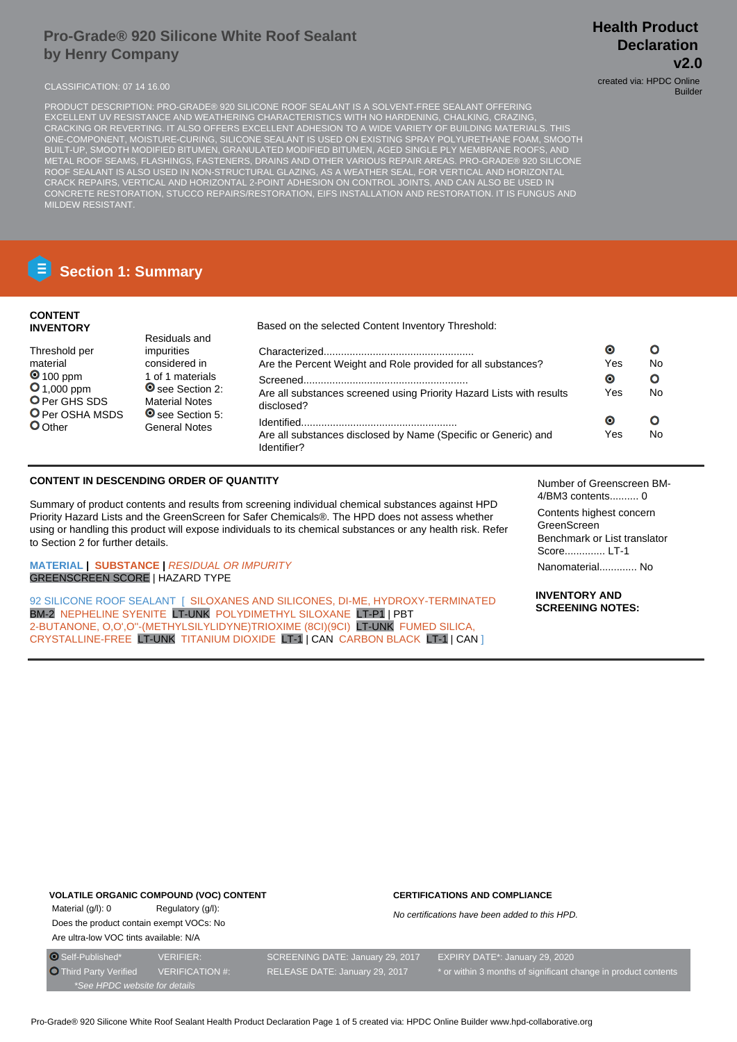## **Pro-Grade® 920 Silicone White Roof Sealant by Henry Company**

CLASSIFICATION: 07 14 16.00 created via: HPDC Online

Builder

PRODUCT DESCRIPTION: PRO-GRADE® 920 SILICONE ROOF SEALANT IS A SOLVENT-FREE SEALANT OFFERING EXCELLENT UV RESISTANCE AND WEATHERING CHARACTERISTICS WITH NO HARDENING, CHALKING, CRAZING, CRACKING OR REVERTING. IT ALSO OFFERS EXCELLENT ADHESION TO A WIDE VARIETY OF BUILDING MATERIALS. THIS ONE-COMPONENT, MOISTURE-CURING, SILICONE SEALANT IS USED ON EXISTING SPRAY POLYURETHANE FOAM, SMOOTH BUILT-UP, SMOOTH MODIFIED BITUMEN, GRANULATED MODIFIED BITUMEN, AGED SINGLE PLY MEMBRANE ROOFS, AND METAL ROOF SEAMS, FLASHINGS, FASTENERS, DRAINS AND OTHER VARIOUS REPAIR AREAS. PRO-GRADE® 920 SILICONE ROOF SEALANT IS ALSO USED IN NON-STRUCTURAL GLAZING, AS A WEATHER SEAL, FOR VERTICAL AND HORIZONTAL CRACK REPAIRS, VERTICAL AND HORIZONTAL 2-POINT ADHESION ON CONTROL JOINTS, AND CAN ALSO BE USED IN CONCRETE RESTORATION, STUCCO REPAIRS/RESTORATION, EIFS INSTALLATION AND RESTORATION. IT IS FUNGUS AND MILDEW RESISTANT.

# **Section 1: Summary**

## **CONTENT INVENTORY**

Based on the selected Content Inventory Threshold: Residuals and  $\bullet$  $\mathbf{o}$ Threshold per impurities Characterized.................................................... material considered in Are the Percent Weight and Role provided for all substances? Yes No **0** 100 ppm 1 of 1 materials  $\bullet$  $\Omega$ Screened......................................................... **0**1,000 ppm **O** see Section 2: Are all substances screened using Priority Hazard Lists with results Yes No O Per GHS SDS Material Notes disclosed? **O** Per OSHA MSDS **◎** see Section 5:  $\bullet$  $\overline{O}$ Identified...................................................... O Other General Notes Yes No Are all substances disclosed by Name (Specific or Generic) and Identifier?

## **CONTENT IN DESCENDING ORDER OF QUANTITY**

Summary of product contents and results from screening individual chemical substances against HPD Priority Hazard Lists and the GreenScreen for Safer Chemicals®. The HPD does not assess whether using or handling this product will expose individuals to its chemical substances or any health risk. Refer to Section 2 for further details.

**MATERIAL | SUBSTANCE |** RESIDUAL OR IMPURITY GREENSCREEN SCORE | HAZARD TYPE

92 SILICONE ROOF SEALANT | SILOXANES AND SILICONES, DI-ME, HYDROXY-TERMINATED BM-2 NEPHELINE SYENITE LT-UNK POLYDIMETHYL SILOXANE LT-P1 | PBT 2-BUTANONE, O,O',O''-(METHYLSILYLIDYNE)TRIOXIME (8CI)(9CI) LT-UNK FUMED SILICA, CRYSTALLINE-FREE LT-UNK TITANIUM DIOXIDE LT-1 | CAN CARBON BLACK LT-1 | CAN ]

Number of Greenscreen BM-4/BM3 contents.......... 0

Contents highest concern GreenScreen Benchmark or List translator Score.............. LT-1 Nanomaterial............. No

**INVENTORY AND SCREENING NOTES:**

## **VOLATILE ORGANIC COMPOUND (VOC) CONTENT**

Material (g/l): 0 Regulatory (g/l): Does the product contain exempt VOCs: No Are ultra-low VOC tints available: N/A

#### **CERTIFICATIONS AND COMPLIANCE**

No certifications have been added to this HPD.

\*See HPDC website for details

O Self-Published\* VERIFIER: SCREENING DATE: January 29, 2017 EXPIRY DATE\*: January 29, 2020 Third Party Verified VERIFICATION #: RELEASE DATE: January 29, 2017 \* or within 3 months of significant change in product contents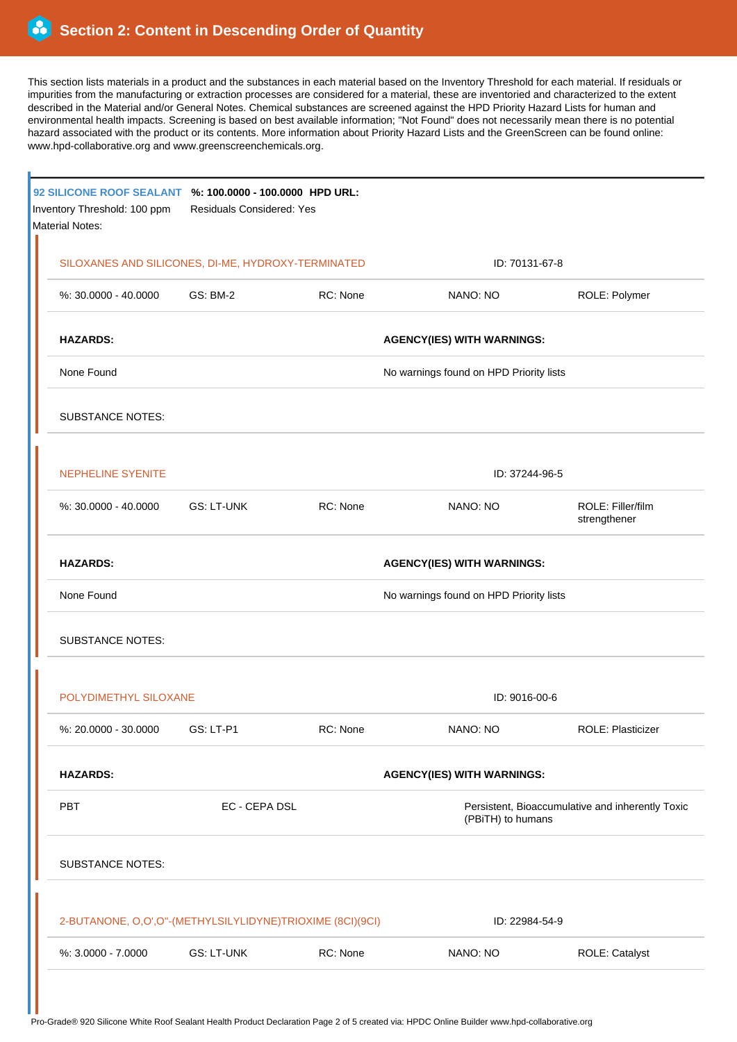ŕ

This section lists materials in a product and the substances in each material based on the Inventory Threshold for each material. If residuals or impurities from the manufacturing or extraction processes are considered for a material, these are inventoried and characterized to the extent described in the Material and/or General Notes. Chemical substances are screened against the HPD Priority Hazard Lists for human and environmental health impacts. Screening is based on best available information; "Not Found" does not necessarily mean there is no potential hazard associated with the product or its contents. More information about Priority Hazard Lists and the GreenScreen can be found online: www.hpd-collaborative.org and www.greenscreenchemicals.org.

| 92 SILICONE ROOF SEALANT %: 100.0000 - 100.0000 HPD URL:<br>Inventory Threshold: 100 ppm<br><b>Material Notes:</b> | Residuals Considered: Yes         |          |                                                                       |                                   |  |
|--------------------------------------------------------------------------------------------------------------------|-----------------------------------|----------|-----------------------------------------------------------------------|-----------------------------------|--|
| SILOXANES AND SILICONES, DI-ME, HYDROXY-TERMINATED                                                                 |                                   |          | ID: 70131-67-8                                                        |                                   |  |
| %: 30.0000 - 40.0000                                                                                               | <b>GS: BM-2</b>                   | RC: None | NANO: NO                                                              | ROLE: Polymer                     |  |
| <b>HAZARDS:</b>                                                                                                    |                                   |          | <b>AGENCY(IES) WITH WARNINGS:</b>                                     |                                   |  |
| None Found                                                                                                         |                                   |          | No warnings found on HPD Priority lists                               |                                   |  |
| <b>SUBSTANCE NOTES:</b>                                                                                            |                                   |          |                                                                       |                                   |  |
| <b>NEPHELINE SYENITE</b>                                                                                           |                                   |          | ID: 37244-96-5                                                        |                                   |  |
| $%30.0000 - 40.0000$                                                                                               | <b>GS: LT-UNK</b>                 | RC: None | NANO: NO                                                              | ROLE: Filler/film<br>strengthener |  |
| <b>HAZARDS:</b>                                                                                                    |                                   |          | <b>AGENCY(IES) WITH WARNINGS:</b>                                     |                                   |  |
| None Found                                                                                                         |                                   |          | No warnings found on HPD Priority lists                               |                                   |  |
| <b>SUBSTANCE NOTES:</b>                                                                                            |                                   |          |                                                                       |                                   |  |
| POLYDIMETHYL SILOXANE                                                                                              |                                   |          | ID: 9016-00-6                                                         |                                   |  |
| %: 20.0000 - 30.0000                                                                                               | GS: LT-P1                         | RC: None | NANO: NO                                                              | <b>ROLE: Plasticizer</b>          |  |
| <b>HAZARDS:</b>                                                                                                    | <b>AGENCY(IES) WITH WARNINGS:</b> |          |                                                                       |                                   |  |
| PBT<br>EC - CEPA DSL                                                                                               |                                   |          | Persistent, Bioaccumulative and inherently Toxic<br>(PBiTH) to humans |                                   |  |
| <b>SUBSTANCE NOTES:</b>                                                                                            |                                   |          |                                                                       |                                   |  |
| 2-BUTANONE, O,O',O"-(METHYLSILYLIDYNE)TRIOXIME (8CI)(9CI)                                                          |                                   |          | ID: 22984-54-9                                                        |                                   |  |
| %: 3.0000 - 7.0000                                                                                                 | <b>GS: LT-UNK</b>                 | RC: None | NANO: NO                                                              | ROLE: Catalyst                    |  |
|                                                                                                                    |                                   |          |                                                                       |                                   |  |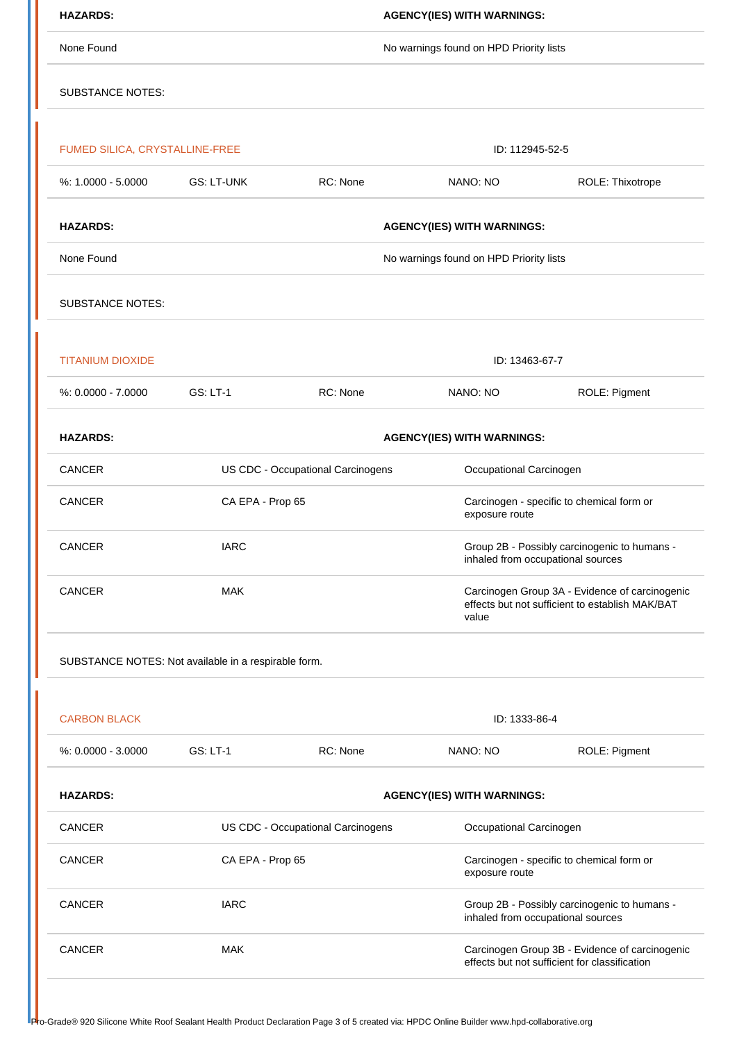| <b>HAZARDS:</b>                |                                                      |                                   | <b>AGENCY(IES) WITH WARNINGS:</b>                           |                                                                                                   |  |  |
|--------------------------------|------------------------------------------------------|-----------------------------------|-------------------------------------------------------------|---------------------------------------------------------------------------------------------------|--|--|
| None Found                     |                                                      |                                   | No warnings found on HPD Priority lists                     |                                                                                                   |  |  |
| <b>SUBSTANCE NOTES:</b>        |                                                      |                                   |                                                             |                                                                                                   |  |  |
|                                |                                                      |                                   |                                                             |                                                                                                   |  |  |
| FUMED SILICA, CRYSTALLINE-FREE |                                                      |                                   | ID: 112945-52-5                                             |                                                                                                   |  |  |
| %: 1.0000 - 5.0000             | <b>GS: LT-UNK</b>                                    | RC: None                          | NANO: NO                                                    | ROLE: Thixotrope                                                                                  |  |  |
| <b>HAZARDS:</b>                |                                                      |                                   | <b>AGENCY(IES) WITH WARNINGS:</b>                           |                                                                                                   |  |  |
| None Found                     |                                                      |                                   | No warnings found on HPD Priority lists                     |                                                                                                   |  |  |
| <b>SUBSTANCE NOTES:</b>        |                                                      |                                   |                                                             |                                                                                                   |  |  |
| <b>TITANIUM DIOXIDE</b>        |                                                      |                                   | ID: 13463-67-7                                              |                                                                                                   |  |  |
| $%: 0.0000 - 7.0000$           | GS: LT-1                                             | RC: None                          | NANO: NO                                                    | ROLE: Pigment                                                                                     |  |  |
| <b>HAZARDS:</b>                |                                                      |                                   | <b>AGENCY(IES) WITH WARNINGS:</b>                           |                                                                                                   |  |  |
| CANCER                         |                                                      | US CDC - Occupational Carcinogens | Occupational Carcinogen                                     |                                                                                                   |  |  |
| <b>CANCER</b>                  | CA EPA - Prop 65                                     |                                   | Carcinogen - specific to chemical form or<br>exposure route |                                                                                                   |  |  |
| <b>CANCER</b>                  | <b>IARC</b>                                          |                                   |                                                             | Group 2B - Possibly carcinogenic to humans -<br>inhaled from occupational sources                 |  |  |
| <b>CANCER</b>                  | <b>MAK</b>                                           |                                   | value                                                       | Carcinogen Group 3A - Evidence of carcinogenic<br>effects but not sufficient to establish MAK/BAT |  |  |
|                                | SUBSTANCE NOTES: Not available in a respirable form. |                                   |                                                             |                                                                                                   |  |  |
|                                |                                                      |                                   |                                                             |                                                                                                   |  |  |
| <b>CARBON BLACK</b>            |                                                      |                                   | ID: 1333-86-4                                               |                                                                                                   |  |  |
| %: 0.0000 - 3.0000             | <b>GS: LT-1</b>                                      | RC: None                          | NANO: NO                                                    | ROLE: Pigment                                                                                     |  |  |
| <b>HAZARDS:</b>                |                                                      |                                   | <b>AGENCY(IES) WITH WARNINGS:</b>                           |                                                                                                   |  |  |
|                                |                                                      | US CDC - Occupational Carcinogens | Occupational Carcinogen                                     |                                                                                                   |  |  |
| <b>CANCER</b>                  |                                                      |                                   | Carcinogen - specific to chemical form or<br>exposure route |                                                                                                   |  |  |
| <b>CANCER</b>                  | CA EPA - Prop 65                                     |                                   |                                                             |                                                                                                   |  |  |
| <b>CANCER</b>                  | <b>IARC</b>                                          |                                   |                                                             | Group 2B - Possibly carcinogenic to humans -<br>inhaled from occupational sources                 |  |  |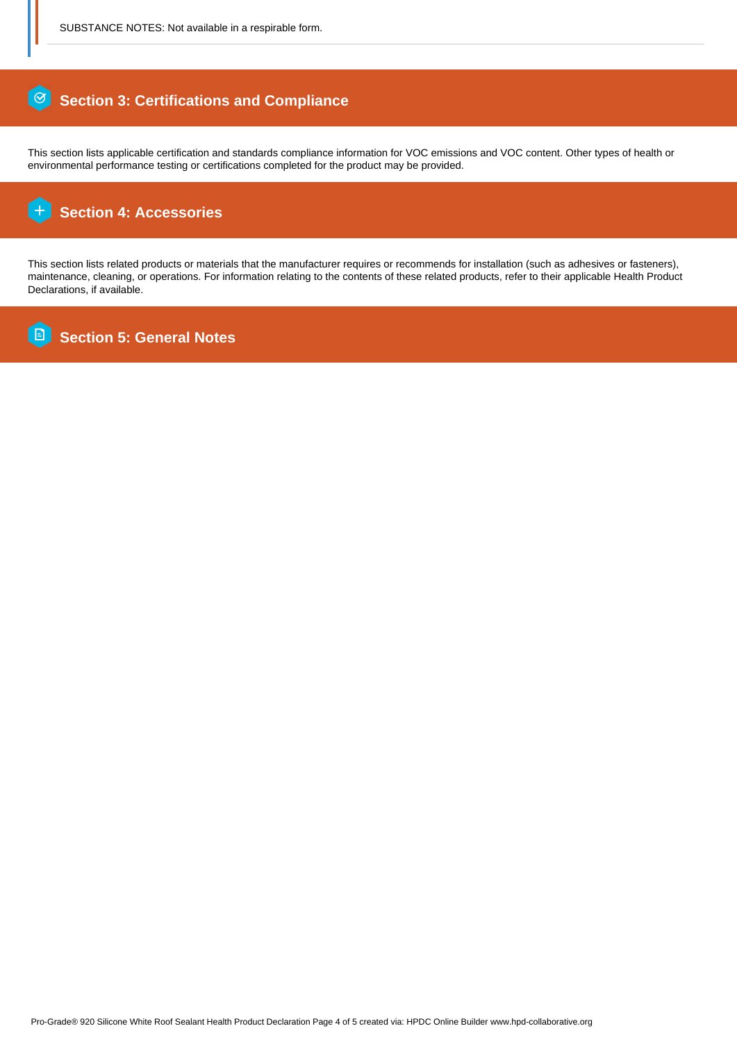#### $\circ$  **Section 3: Certifications and Compliance**

This section lists applicable certification and standards compliance information for VOC emissions and VOC content. Other types of health or environmental performance testing or certifications completed for the product may be provided.

#### ſ+  **Section 4: Accessories**

This section lists related products or materials that the manufacturer requires or recommends for installation (such as adhesives or fasteners), maintenance, cleaning, or operations. For information relating to the contents of these related products, refer to their applicable Health Product Declarations, if available.

Ē  **Section 5: General Notes**